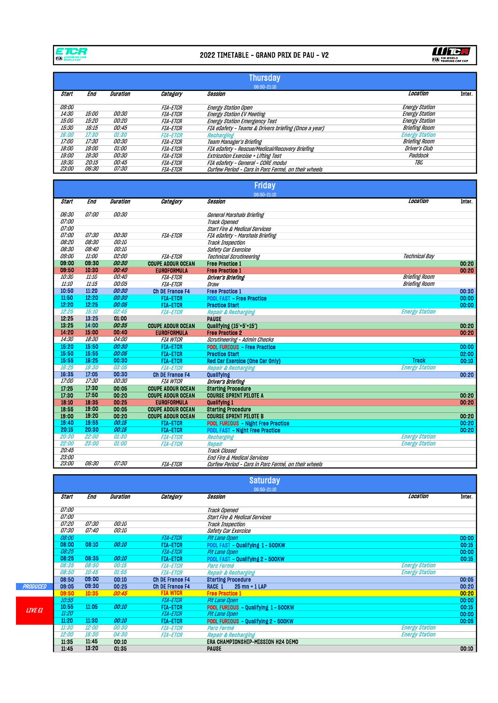

## 2022 TIMETABLE - GRAND PRIX DE PAU - V2



|              |                     |                 |                        | <b>Thursday</b>                                      |                       |
|--------------|---------------------|-----------------|------------------------|------------------------------------------------------|-----------------------|
|              |                     |                 |                        | 06:50-21:10                                          |                       |
| Start        | End                 | <b>Duration</b> | Category               | Session                                              | Location<br>Inter.    |
|              |                     |                 |                        |                                                      |                       |
| <i>09:00</i> |                     |                 | <i><b>FIA-ETCR</b></i> | Energy Station Open                                  | Energy Station        |
| 14:30        | 15:00               | <i>00:30</i>    | <i><b>FIA-ETCR</b></i> | Energy Station EV Meeting                            | Energy Station        |
| <i>15:00</i> | <i>15:20</i>        | <i>00:20</i>    | <i><b>FIA-ETCR</b></i> | Energy Station Emergency Test                        | Energy Station        |
| 15:30        | 16:15               | <i>00:45</i>    | <i>FIA-ETCR</i>        | FIA eSafety - Teams & Drivers briefing (Once a vear) | Briefing Room         |
| 16:00        | <i><b>17:30</b></i> | 01:30           | <i><b>FIA-ETCR</b></i> | Recharging                                           | <b>Energy Station</b> |
| 17:00        | <i>17:30</i>        | <i>00:30</i>    | <i>FIA-ETCR</i>        | Team Manager's Briefing                              | Briefing Room         |
| 18:00        | <i>19:00</i>        | <i>01:00</i>    | <i><b>FIA-ETCR</b></i> | FIA eSafety - Rescue/Medical/Recovery Briefing       | Driver's Club         |
| <i>19:00</i> | <i>19:30</i>        | <i>00:30</i>    | <i><b>FIA-ETCR</b></i> | <b>Extrication Exercise + Lifting Test</b>           | Paddock               |
| 19:30        | 20:15               | <i>00:45</i>    | <i>FIA-ETCR</i>        | FIA eSafety - General - CORE modul                   | TBC                   |
| <i>23:00</i> | <i>06:30</i>        | <i>07:30</i>    | <i><b>FIA-ETCR</b></i> | Curfew Period - Cars in Parc Fermé, on their wheels  |                       |

|                |            |                 |                          | <b>Friday</b>                                       |                       |               |
|----------------|------------|-----------------|--------------------------|-----------------------------------------------------|-----------------------|---------------|
|                |            |                 |                          | 06:50-21:10                                         |                       |               |
| Start          | <b>End</b> | <b>Duration</b> | Category                 | <b>Session</b>                                      | Location              | <b>Inter.</b> |
| 06:30          | 07:00      | 00:30           |                          | General Marshals Briefing                           |                       |               |
| 07:00          |            |                 |                          | Track Opened                                        |                       |               |
| 07:00          |            |                 |                          | <b>Start Fire &amp; Medical Services</b>            |                       |               |
| 07:00          | 07:30      | 00:30           | <b>FIA-ETCR</b>          | FIA eSafety - Marshals Briefing                     |                       |               |
| 08:20          | 08:30      | 00:10           |                          | <b>Track Inspection</b>                             |                       |               |
| 08:30          | 08:40      | 00:10           |                          | Safety Car Exercice                                 |                       |               |
| 09:00          | 11:00      | 02:00           | <b>FIA-ETCR</b>          | <b>Technical Scrutineering</b>                      | Technical Bav         |               |
| 09:00          | 09:30      | 00:30           | <b>COUPE ADOUR OCEAN</b> | <b>Free Practice 1</b>                              |                       | 00:20         |
| 09:50          | 10:30      | 00:40           | <b>EUROFORMULA</b>       | <b>Free Practice 1</b>                              |                       | 00:20         |
| 10:30          | 11:10      | 00:40           | <b>FIA-ETCR</b>          | Driver's Briefing                                   | <b>Briefing Room</b>  |               |
| 11:10          | 11:15      | 00:05           | <b>FIA-ETCR</b>          | Draw                                                | <b>Briefing Room</b>  |               |
| 10:50          | 11:20      | 00:30           | <b>Ch DE France F4</b>   | <b>Free Practice 1</b>                              |                       | 00:30         |
| 11:50          | 12:20      | 00:30           | <b>FIA-ETCR</b>          | <b>POOL FAST - Free Practice</b>                    |                       | 00:00         |
| 12:20          | 12:25      | 00:05           | <b>FIA-ETCR</b>          | <b>Practice Start</b>                               |                       | 00:00         |
| 12:25          | 15:10      | 02:45           | <b>FIA-ETCR</b>          | <b>Repair &amp; Recharging</b>                      | <b>Energy Station</b> |               |
| 12:25          | 13:25      | 01:00           |                          | <b>PAUSE</b>                                        |                       |               |
| 13:25          | 14:00      | 00:35           | <b>COUPE ADOUR OCEAN</b> | Qualifying (15'+5'+15')                             |                       | 00:20         |
| 14:20          | 15:00      | 00:40           | <b>EUROFORMULA</b>       | <b>Free Practice 2</b>                              |                       | 00:20         |
| 14:30          | 18:30      | 04:00           | <b>FIA WTCR</b>          | Scrutineering - Admin Checks                        |                       |               |
| 15:20          | 15:50      | 00:30           | <b>FIA-ETCR</b>          | <b>POOL FURIOUS - Free Practice</b>                 |                       | 00:00         |
| 15:50          | 15:55      | 00:05           | <b>FIA-ETCR</b>          | <b>Practice Start</b>                               |                       | 02:00         |
| 15:55          | 16:25      | 00:30           | <b>FIA-ETCR</b>          | <b>Red Car Exercice (One Car Only)</b>              | <b>Track</b>          | 00:10         |
| 16:25          | 19:30      | 03:05           | <b>FIA-ETCR</b>          | <b>Repair &amp; Recharging</b>                      | <b>Energy Station</b> |               |
| 16:35          | 17:05      | 00:30           | <b>Ch DE France F4</b>   | Qualifying                                          |                       | 00:20         |
| 17:00          | 17:30      | 00:30           | <b>FIA WTCR</b>          | Driver's Briefing                                   |                       |               |
| 17:25          | 17:30      | 00:05           | <b>COUPE ADOUR OCEAN</b> | <b>Starting Procedure</b>                           |                       |               |
| 17:30          | 17:50      | 00:20           | <b>COUPE ADOUR OCEAN</b> | <b>COURSE SPRINT PILOTE A</b>                       |                       | 00:20         |
| 18:10          | 18:35      | 00:25           | <b>EUROFORMULA</b>       | <b>Qualifying 1</b>                                 |                       | 00:20         |
| 18:55          | 19:00      | 00:05           | <b>COUPE ADOUR OCEAN</b> | <b>Starting Procedure</b>                           |                       |               |
| 19:00          | 19:20      | 00:20           | <b>COUPE ADOUR OCEAN</b> | <b>COURSE SPRINT PILOTE B</b>                       |                       | 00:20         |
| 19:40          | 19:55      | 00:15           | <b>FIA-ETCR</b>          | <b>POOL FURIOUS - Night Free Practice</b>           |                       | 00:20         |
| 20:15          | 20:30      | 00:15           | <b>FIA-ETCR</b>          | <b>POOL FAST - Night Free Practice</b>              |                       | 00:20         |
| 20:30          | 22:00      | 01:30           | <b>FIA-ETCR</b>          | Recharging                                          | <b>Energy Station</b> |               |
| 22:00<br>20:45 | 23:00      | 01:00           | <b>FIA-ETGR</b>          | Repair                                              | <b>Energy Station</b> |               |
| 23:00          |            |                 |                          | Track Closed                                        |                       |               |
| 23:00          | 06:30      | <i>07:30</i>    |                          | End Fire & Medical Services                         |                       |               |
|                |            |                 | <b>FIA-ETCR</b>          | Curfew Period - Cars in Parc Fermé, on their wheels |                       |               |

|                |              |              |                     |                        | <b>Saturday</b>                          |                       |        |
|----------------|--------------|--------------|---------------------|------------------------|------------------------------------------|-----------------------|--------|
|                |              |              |                     |                        | 06:50-21:10                              |                       |        |
|                | <b>Start</b> | End          | Duration            | Category               | Session                                  | Location              | Inter. |
|                | <i>07:00</i> |              |                     |                        | Track Opened                             |                       |        |
|                | <i>07:00</i> |              |                     |                        | <b>Start Fire &amp; Medical Services</b> |                       |        |
|                | <i>07:20</i> | <i>07:30</i> | <i>00:10</i>        |                        | Track Inspection                         |                       |        |
|                | <i>07:30</i> | 07:40        | 00:10               |                        | Safety Car Exercice                      |                       |        |
|                | 08:00        |              |                     | <b>FIA-ETCR</b>        | Pit Lane Open                            |                       | 00:00  |
|                | 08:00        | 08:10        | 00:10               | <b>FIA-ETCR</b>        | POOL FAST - Qualifying 1 - 500KW         |                       | 00:15  |
|                | 08:25        |              |                     | <b>FIA-ETCR</b>        | Pit Lane Open                            |                       | 00:00  |
|                | 08:25        | 08:35        | 00:10               | <b>FIA-ETCR</b>        | POOL FAST - Qualifying 2 - 500KW         |                       | 00:15  |
|                | 08:35        | 08:50        | 00:15               | <b>FIA-ETCR</b>        | Parc Fermé                               | <b>Energy Station</b> |        |
|                | 08:50        | 10:45        | 01:55               | <b>FIA-ETCR</b>        | <b>Repair &amp; Recharging</b>           | <b>Energy Station</b> |        |
|                | 08:50        | 09:00        | 00:10               | <b>Ch DE France F4</b> | <b>Starting Procedure</b>                |                       | 00:05  |
| PRODUCED       | 09:05        | 09:30        | 00:25               | <b>Ch DE France F4</b> | RACE 1<br>$25$ mn $+$ 1 LAP              |                       | 00:20  |
|                | 09:50        | 10:35        | 00:45               | <b>FIA WTCR</b>        | <b>Free Practice 1</b>                   |                       | 00:20  |
|                | 10:55        |              |                     | <b>FIA-ETCR</b>        | <b>Pit Lane Open</b>                     |                       | 00:00  |
| <b>LIVE EL</b> | 10:55        | 11:05        | 00:10               | <b>FIA-ETCR</b>        | POOL FURIOUS - Qualifying 1 - 500KW      |                       | 00:15  |
|                | 11:20        |              |                     | <b>FIA-ETCR</b>        | Pit Lane Open                            |                       | 00:00  |
|                | 11:20        | 11:30        | 00:10               | <b>FIA-ETCR</b>        | POOL FURIOUS - Qualifying 2 - 500KW      |                       | 00:05  |
|                | 11:30        | 12:00        | <i><b>00:30</b></i> | <b>FIA-ETCR</b>        | Parc Fermé                               | <b>Energy Station</b> |        |
|                | 12:00        | 16:30        | 04:30               | <b>FIA-ETCR</b>        | Repair & Recharging                      | <b>Energy Station</b> |        |
|                | 11:35        | 11:45        | 00:10               |                        | ERA CHAMPIONSHIP-MISSION H24 DEMO        |                       |        |
|                | 11:45        | 13:20        | 01:35               |                        | <b>PAUSE</b>                             |                       | 00:10  |